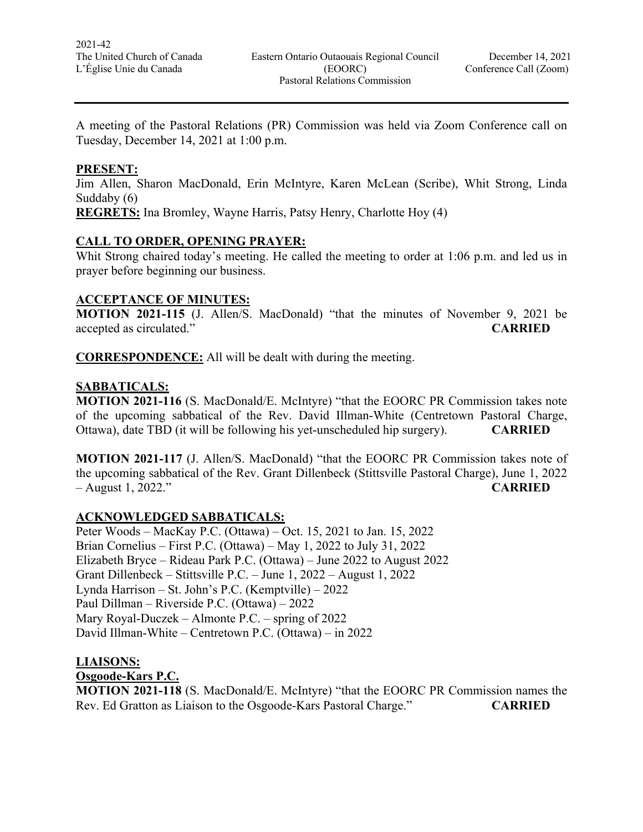A meeting of the Pastoral Relations (PR) Commission was held via Zoom Conference call on Tuesday, December 14, 2021 at 1:00 p.m.

#### **PRESENT:**

Jim Allen, Sharon MacDonald, Erin McIntyre, Karen McLean (Scribe), Whit Strong, Linda Suddaby (6)

**REGRETS:** Ina Bromley, Wayne Harris, Patsy Henry, Charlotte Hoy (4)

## **CALL TO ORDER, OPENING PRAYER:**

Whit Strong chaired today's meeting. He called the meeting to order at 1:06 p.m. and led us in prayer before beginning our business.

## **ACCEPTANCE OF MINUTES:**

**MOTION 2021-115** (J. Allen/S. MacDonald) "that the minutes of November 9, 2021 be accepted as circulated." **CARRIED**

**CORRESPONDENCE:** All will be dealt with during the meeting.

#### **SABBATICALS:**

**MOTION 2021-116** (S. MacDonald/E. McIntyre) "that the EOORC PR Commission takes note of the upcoming sabbatical of the Rev. David Illman-White (Centretown Pastoral Charge, Ottawa), date TBD (it will be following his yet-unscheduled hip surgery). **CARRIED**

**MOTION 2021-117** (J. Allen/S. MacDonald) "that the EOORC PR Commission takes note of the upcoming sabbatical of the Rev. Grant Dillenbeck (Stittsville Pastoral Charge), June 1, 2022 – August 1, 2022." **CARRIED**

## **ACKNOWLEDGED SABBATICALS:**

Peter Woods – MacKay P.C. (Ottawa) – Oct. 15, 2021 to Jan. 15, 2022 Brian Cornelius – First P.C. (Ottawa) – May 1, 2022 to July 31, 2022 Elizabeth Bryce – Rideau Park P.C. (Ottawa) – June 2022 to August 2022 Grant Dillenbeck – Stittsville P.C. – June 1, 2022 – August 1, 2022 Lynda Harrison – St. John's P.C. (Kemptville) – 2022 Paul Dillman – Riverside P.C. (Ottawa) – 2022 Mary Royal-Duczek – Almonte P.C. – spring of 2022 David Illman-White – Centretown P.C. (Ottawa) – in 2022

#### **LIAISONS: Osgoode-Kars P.C.**

**MOTION 2021-118** (S. MacDonald/E. McIntyre) "that the EOORC PR Commission names the Rev. Ed Gratton as Liaison to the Osgoode-Kars Pastoral Charge." **CARRIED**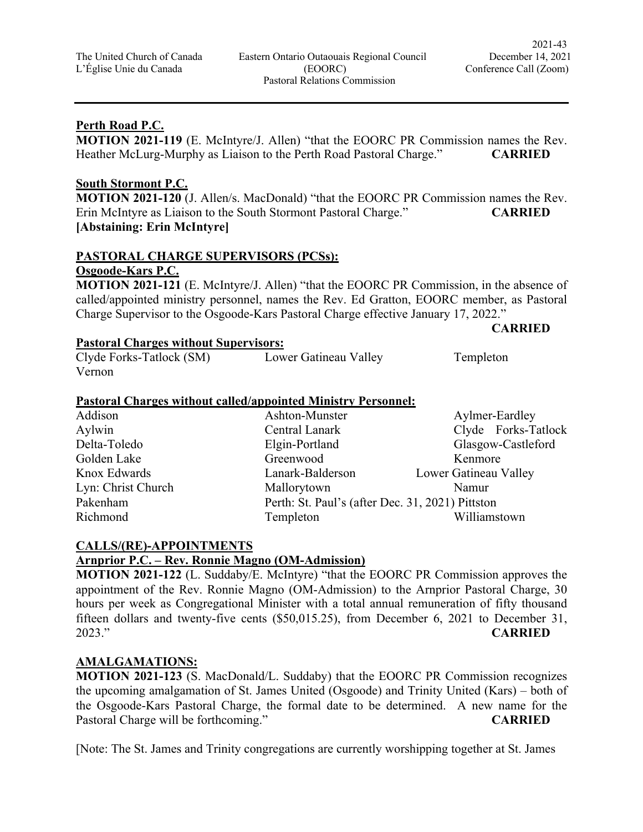## **Perth Road P.C.**

**MOTION 2021-119** (E. McIntyre/J. Allen) "that the EOORC PR Commission names the Rev. Heather McLurg-Murphy as Liaison to the Perth Road Pastoral Charge." **CARRIED**

#### **South Stormont P.C.**

**MOTION 2021-120** (J. Allen/s. MacDonald) "that the EOORC PR Commission names the Rev. Erin McIntyre as Liaison to the South Stormont Pastoral Charge." **CARRIED [Abstaining: Erin McIntyre]**

# **PASTORAL CHARGE SUPERVISORS (PCSs): Osgoode-Kars P.C.**

**MOTION 2021-121** (E. McIntyre/J. Allen) "that the EOORC PR Commission, in the absence of called/appointed ministry personnel, names the Rev. Ed Gratton, EOORC member, as Pastoral Charge Supervisor to the Osgoode-Kars Pastoral Charge effective January 17, 2022."

#### **CARRIED**

# **Pastoral Charges without Supervisors:**

| Clyde Forks-Tatlock (SM) | Lower Gatineau Valley | Templeton |
|--------------------------|-----------------------|-----------|
| Vernon                   |                       |           |

#### **Pastoral Charges without called/appointed Ministry Personnel:**

| Addison            | Ashton-Munster                                   | Aylmer-Eardley        |  |
|--------------------|--------------------------------------------------|-----------------------|--|
| Aylwin             | Central Lanark                                   | Clyde Forks-Tatlock   |  |
| Delta-Toledo       | Elgin-Portland                                   | Glasgow-Castleford    |  |
| Golden Lake        | Greenwood                                        | Kenmore               |  |
| Knox Edwards       | Lanark-Balderson                                 | Lower Gatineau Valley |  |
| Lyn: Christ Church | Mallorytown                                      | Namur                 |  |
| Pakenham           | Perth: St. Paul's (after Dec. 31, 2021) Pittston |                       |  |
| Richmond           | Templeton                                        | Williamstown          |  |

## **CALLS/(RE)-APPOINTMENTS**

## **Arnprior P.C. – Rev. Ronnie Magno (OM-Admission)**

**MOTION 2021-122** (L. Suddaby/E. McIntyre) "that the EOORC PR Commission approves the appointment of the Rev. Ronnie Magno (OM-Admission) to the Arnprior Pastoral Charge, 30 hours per week as Congregational Minister with a total annual remuneration of fifty thousand fifteen dollars and twenty-five cents (\$50,015.25), from December 6, 2021 to December 31, 2023." **CARRIED**

# **AMALGAMATIONS:**

**MOTION 2021-123** (S. MacDonald/L. Suddaby) that the EOORC PR Commission recognizes the upcoming amalgamation of St. James United (Osgoode) and Trinity United (Kars) – both of the Osgoode-Kars Pastoral Charge, the formal date to be determined. A new name for the Pastoral Charge will be forthcoming." **CARRIED**

[Note: The St. James and Trinity congregations are currently worshipping together at St. James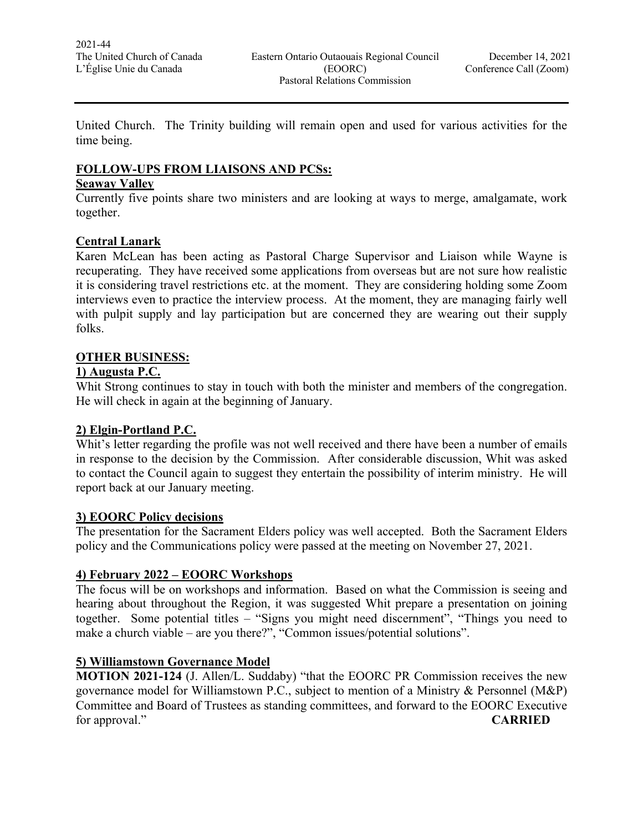United Church. The Trinity building will remain open and used for various activities for the time being.

## **FOLLOW-UPS FROM LIAISONS AND PCSs:**

#### **Seaway Valley**

Currently five points share two ministers and are looking at ways to merge, amalgamate, work together.

## **Central Lanark**

Karen McLean has been acting as Pastoral Charge Supervisor and Liaison while Wayne is recuperating. They have received some applications from overseas but are not sure how realistic it is considering travel restrictions etc. at the moment. They are considering holding some Zoom interviews even to practice the interview process. At the moment, they are managing fairly well with pulpit supply and lay participation but are concerned they are wearing out their supply folks.

## **OTHER BUSINESS:**

## **1) Augusta P.C.**

Whit Strong continues to stay in touch with both the minister and members of the congregation. He will check in again at the beginning of January.

## **2) Elgin-Portland P.C.**

Whit's letter regarding the profile was not well received and there have been a number of emails in response to the decision by the Commission. After considerable discussion, Whit was asked to contact the Council again to suggest they entertain the possibility of interim ministry. He will report back at our January meeting.

## **3) EOORC Policy decisions**

The presentation for the Sacrament Elders policy was well accepted. Both the Sacrament Elders policy and the Communications policy were passed at the meeting on November 27, 2021.

## **4) February 2022 – EOORC Workshops**

The focus will be on workshops and information. Based on what the Commission is seeing and hearing about throughout the Region, it was suggested Whit prepare a presentation on joining together. Some potential titles – "Signs you might need discernment", "Things you need to make a church viable – are you there?", "Common issues/potential solutions".

## **5) Williamstown Governance Model**

**MOTION 2021-124** (J. Allen/L. Suddaby) "that the EOORC PR Commission receives the new governance model for Williamstown P.C., subject to mention of a Ministry & Personnel (M&P) Committee and Board of Trustees as standing committees, and forward to the EOORC Executive for approval." **CARRIED**